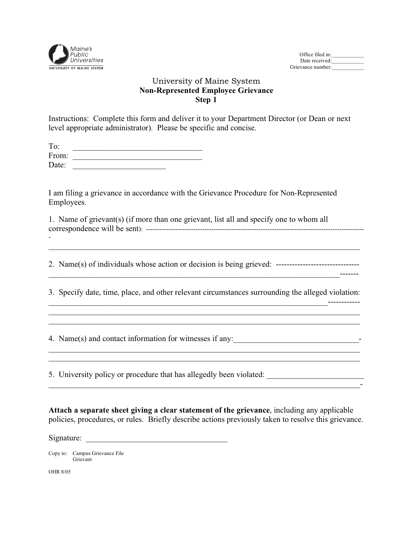

| Office filed in:  |  |
|-------------------|--|
| Date received:    |  |
| Grievance number: |  |

## University of Maine System **Non-Represented Employee Grievance Step 1**

Instructions: Complete this form and deliver it to your Department Director (or Dean or next level appropriate administrator). Please be specific and concise.

| To:   |  |
|-------|--|
| From: |  |
| Date: |  |

 Employees. I am filing a grievance in accordance with the Grievance Procedure for Non-Represented

| 1. Name of grievant(s) (if more than one grievant, list all and specify one to whom all |
|-----------------------------------------------------------------------------------------|
|                                                                                         |
|                                                                                         |

\_\_\_\_\_\_\_\_\_\_\_\_\_\_\_\_\_\_\_\_\_\_\_\_\_\_\_\_\_\_\_\_\_\_\_\_\_\_\_\_\_\_\_\_\_\_\_\_\_\_\_\_\_\_\_\_\_\_\_\_\_\_\_\_\_\_\_\_\_\_\_\_\_\_\_\_\_

2. Name(s) of individuals whose action or decision is being grieved: -------------------------------

3. Specify date, time, place, and other relevant circumstances surrounding the alleged violation:

\_\_\_\_\_\_\_\_\_\_\_\_\_\_\_\_\_\_\_\_\_\_\_\_\_\_\_\_\_\_\_\_\_\_\_\_\_\_\_\_\_\_\_\_\_\_\_\_\_\_\_\_\_\_\_\_\_\_\_\_\_\_\_\_\_\_\_\_\_\_\_\_\_\_\_\_\_

\_\_\_\_\_\_\_\_\_\_\_\_\_\_\_\_\_\_\_\_\_\_\_\_\_\_\_\_\_\_\_\_\_\_\_\_\_\_\_\_\_\_\_\_\_\_\_\_\_\_\_\_\_\_\_\_\_\_\_\_\_\_\_\_\_\_\_\_\_\_\_\_\_\_\_\_\_

\_\_\_\_\_\_\_\_\_\_\_\_\_\_\_\_\_\_\_\_\_\_\_\_\_\_\_\_\_\_\_\_\_\_\_\_\_\_\_\_\_\_\_\_\_\_\_\_\_\_\_\_\_\_\_\_\_\_\_\_\_\_\_\_\_\_\_\_\_\_\_\_\_\_\_\_\_-

 $\mathcal{L}_\text{max} = \frac{1}{2} \sum_{i=1}^n \mathcal{L}_\text{max} = \frac{1}{2} \sum_{i=1}^n \mathcal{L}_\text{max} = \frac{1}{2} \sum_{i=1}^n \mathcal{L}_\text{max} = \frac{1}{2} \sum_{i=1}^n \mathcal{L}_\text{max} = \frac{1}{2} \sum_{i=1}^n \mathcal{L}_\text{max} = \frac{1}{2} \sum_{i=1}^n \mathcal{L}_\text{max} = \frac{1}{2} \sum_{i=1}^n \mathcal{L}_\text{max} = \frac{1}{2} \sum_{i=$ 

\_\_\_\_\_\_\_\_\_\_\_\_\_\_\_\_\_\_\_\_\_\_\_\_\_\_\_\_\_\_\_\_\_\_\_\_\_\_\_\_\_\_\_\_\_\_\_\_\_\_\_\_\_\_\_\_\_\_\_\_\_\_\_\_\_\_\_\_\_\_\_\_-------

\_\_\_\_\_\_\_\_\_\_\_\_\_\_\_\_\_\_\_\_\_\_\_\_\_\_\_\_\_\_\_\_\_\_\_\_\_\_\_\_\_\_\_\_\_\_\_\_\_\_\_\_\_\_\_\_\_\_\_\_\_\_\_\_\_\_\_\_\_------------

 $\mathcal{L}_\text{max} = \mathcal{L}_\text{max} = \mathcal{L}_\text{max} = \mathcal{L}_\text{max} = \mathcal{L}_\text{max} = \mathcal{L}_\text{max} = \mathcal{L}_\text{max} = \mathcal{L}_\text{max} = \mathcal{L}_\text{max} = \mathcal{L}_\text{max} = \mathcal{L}_\text{max} = \mathcal{L}_\text{max} = \mathcal{L}_\text{max} = \mathcal{L}_\text{max} = \mathcal{L}_\text{max} = \mathcal{L}_\text{max} = \mathcal{L}_\text{max} = \mathcal{L}_\text{max} = \mathcal{$ 

4. Name(s) and contact information for witnesses if any:

5. University policy or procedure that has allegedly been violated:

**Attach a separate sheet giving a clear statement of the grievance**, including any applicable policies, procedures, or rules. Briefly describe actions previously taken to resolve this grievance.

Signature:

Copy to: Campus Grievance File Grievant

OHR 8/05